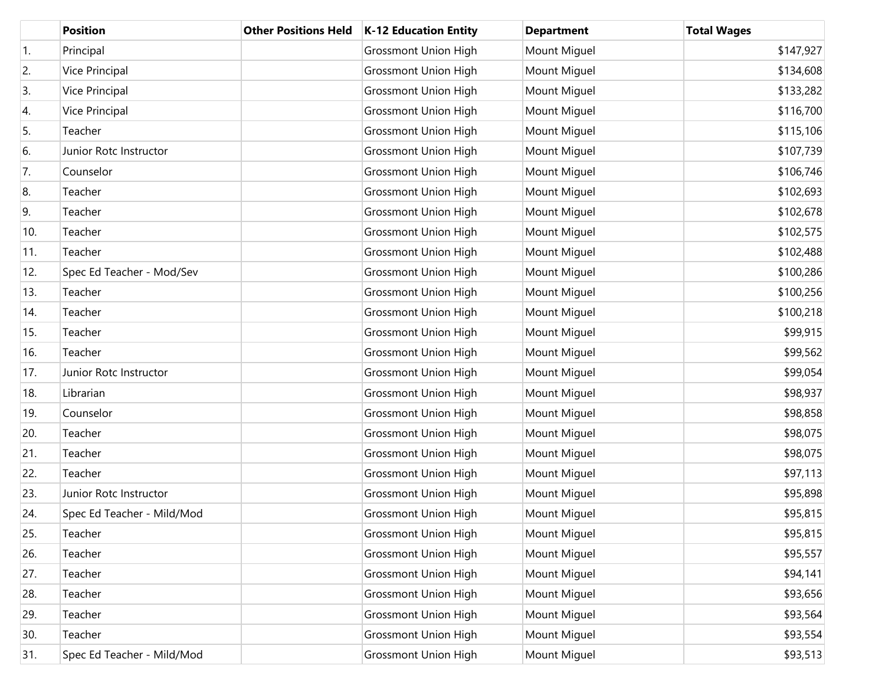|                  | <b>Position</b>            | <b>Other Positions Held</b> | <b>K-12 Education Entity</b> | <b>Department</b> | <b>Total Wages</b> |
|------------------|----------------------------|-----------------------------|------------------------------|-------------------|--------------------|
| $\overline{1}$ . | Principal                  |                             | <b>Grossmont Union High</b>  | Mount Miguel      | \$147,927          |
| 2.               | Vice Principal             |                             | <b>Grossmont Union High</b>  | Mount Miguel      | \$134,608          |
| 3.               | Vice Principal             |                             | <b>Grossmont Union High</b>  | Mount Miguel      | \$133,282          |
| 4.               | Vice Principal             |                             | <b>Grossmont Union High</b>  | Mount Miguel      | \$116,700          |
| 5.               | Teacher                    |                             | <b>Grossmont Union High</b>  | Mount Miguel      | \$115,106          |
| 6.               | Junior Rotc Instructor     |                             | <b>Grossmont Union High</b>  | Mount Miguel      | \$107,739          |
| 7.               | Counselor                  |                             | <b>Grossmont Union High</b>  | Mount Miguel      | \$106,746          |
| 8.               | Teacher                    |                             | <b>Grossmont Union High</b>  | Mount Miguel      | \$102,693          |
| 9.               | Teacher                    |                             | <b>Grossmont Union High</b>  | Mount Miguel      | \$102,678          |
| 10.              | Teacher                    |                             | <b>Grossmont Union High</b>  | Mount Miguel      | \$102,575          |
| 11.              | Teacher                    |                             | <b>Grossmont Union High</b>  | Mount Miguel      | \$102,488          |
| 12.              | Spec Ed Teacher - Mod/Sev  |                             | <b>Grossmont Union High</b>  | Mount Miguel      | \$100,286          |
| 13.              | Teacher                    |                             | <b>Grossmont Union High</b>  | Mount Miguel      | \$100,256          |
| 14.              | Teacher                    |                             | <b>Grossmont Union High</b>  | Mount Miguel      | \$100,218          |
| 15.              | Teacher                    |                             | <b>Grossmont Union High</b>  | Mount Miguel      | \$99,915           |
| 16.              | Teacher                    |                             | <b>Grossmont Union High</b>  | Mount Miguel      | \$99,562           |
| 17.              | Junior Rotc Instructor     |                             | <b>Grossmont Union High</b>  | Mount Miguel      | \$99,054           |
| 18.              | Librarian                  |                             | <b>Grossmont Union High</b>  | Mount Miguel      | \$98,937           |
| 19.              | Counselor                  |                             | <b>Grossmont Union High</b>  | Mount Miguel      | \$98,858           |
| 20.              | Teacher                    |                             | <b>Grossmont Union High</b>  | Mount Miguel      | \$98,075           |
| 21.              | Teacher                    |                             | <b>Grossmont Union High</b>  | Mount Miguel      | \$98,075           |
| 22.              | Teacher                    |                             | <b>Grossmont Union High</b>  | Mount Miguel      | \$97,113           |
| 23.              | Junior Rotc Instructor     |                             | <b>Grossmont Union High</b>  | Mount Miguel      | \$95,898           |
| 24.              | Spec Ed Teacher - Mild/Mod |                             | <b>Grossmont Union High</b>  | Mount Miguel      | \$95,815           |
| 25.              | Teacher                    |                             | <b>Grossmont Union High</b>  | Mount Miguel      | \$95,815           |
| 26.              | Teacher                    |                             | <b>Grossmont Union High</b>  | Mount Miguel      | \$95,557           |
| 27.              | Teacher                    |                             | <b>Grossmont Union High</b>  | Mount Miguel      | \$94,141           |
| 28.              | Teacher                    |                             | <b>Grossmont Union High</b>  | Mount Miguel      | \$93,656           |
| 29.              | Teacher                    |                             | <b>Grossmont Union High</b>  | Mount Miguel      | \$93,564           |
| 30.              | Teacher                    |                             | <b>Grossmont Union High</b>  | Mount Miguel      | \$93,554           |
| 31.              | Spec Ed Teacher - Mild/Mod |                             | <b>Grossmont Union High</b>  | Mount Miguel      | \$93,513           |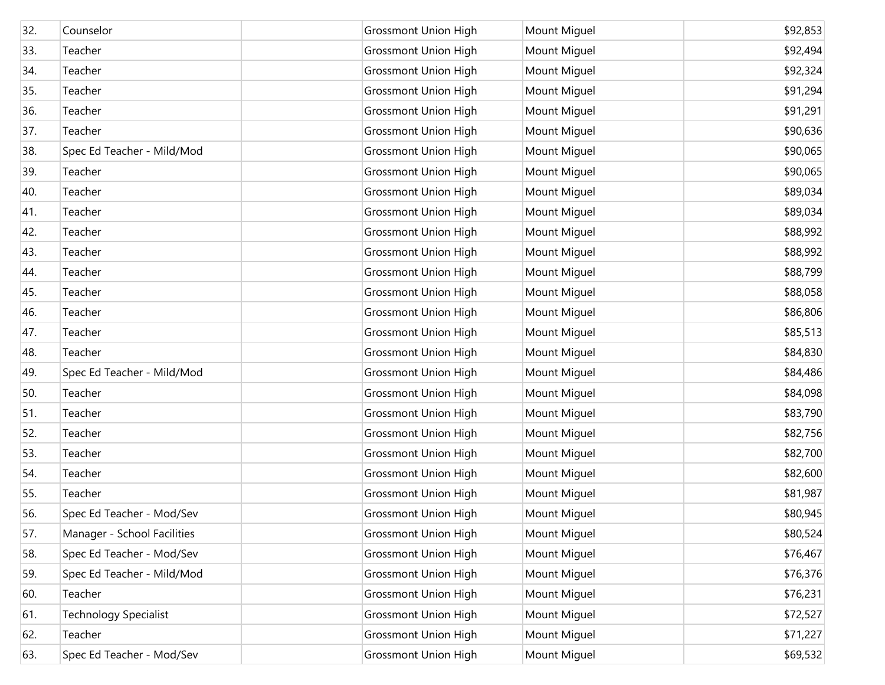| 32. | Counselor                    | <b>Grossmont Union High</b> | Mount Miguel | \$92,853 |
|-----|------------------------------|-----------------------------|--------------|----------|
| 33. | Teacher                      | <b>Grossmont Union High</b> | Mount Miguel | \$92,494 |
| 34. | Teacher                      | <b>Grossmont Union High</b> | Mount Miguel | \$92,324 |
| 35. | Teacher                      | <b>Grossmont Union High</b> | Mount Miguel | \$91,294 |
| 36. | Teacher                      | <b>Grossmont Union High</b> | Mount Miguel | \$91,291 |
| 37. | Teacher                      | <b>Grossmont Union High</b> | Mount Miguel | \$90,636 |
| 38. | Spec Ed Teacher - Mild/Mod   | <b>Grossmont Union High</b> | Mount Miguel | \$90,065 |
| 39. | Teacher                      | <b>Grossmont Union High</b> | Mount Miguel | \$90,065 |
| 40. | Teacher                      | <b>Grossmont Union High</b> | Mount Miguel | \$89,034 |
| 41. | Teacher                      | <b>Grossmont Union High</b> | Mount Miguel | \$89,034 |
| 42. | Teacher                      | <b>Grossmont Union High</b> | Mount Miguel | \$88,992 |
| 43. | Teacher                      | <b>Grossmont Union High</b> | Mount Miguel | \$88,992 |
| 44. | Teacher                      | <b>Grossmont Union High</b> | Mount Miguel | \$88,799 |
| 45. | Teacher                      | <b>Grossmont Union High</b> | Mount Miguel | \$88,058 |
| 46. | Teacher                      | <b>Grossmont Union High</b> | Mount Miguel | \$86,806 |
| 47. | Teacher                      | <b>Grossmont Union High</b> | Mount Miguel | \$85,513 |
| 48. | Teacher                      | <b>Grossmont Union High</b> | Mount Miguel | \$84,830 |
| 49. | Spec Ed Teacher - Mild/Mod   | <b>Grossmont Union High</b> | Mount Miguel | \$84,486 |
| 50. | Teacher                      | <b>Grossmont Union High</b> | Mount Miguel | \$84,098 |
| 51. | Teacher                      | <b>Grossmont Union High</b> | Mount Miguel | \$83,790 |
| 52. | Teacher                      | <b>Grossmont Union High</b> | Mount Miguel | \$82,756 |
| 53. | Teacher                      | <b>Grossmont Union High</b> | Mount Miguel | \$82,700 |
| 54. | Teacher                      | <b>Grossmont Union High</b> | Mount Miguel | \$82,600 |
| 55. | Teacher                      | <b>Grossmont Union High</b> | Mount Miguel | \$81,987 |
| 56. | Spec Ed Teacher - Mod/Sev    | <b>Grossmont Union High</b> | Mount Miguel | \$80,945 |
| 57. | Manager - School Facilities  | <b>Grossmont Union High</b> | Mount Miguel | \$80,524 |
| 58. | Spec Ed Teacher - Mod/Sev    | <b>Grossmont Union High</b> | Mount Miguel | \$76,467 |
| 59. | Spec Ed Teacher - Mild/Mod   | <b>Grossmont Union High</b> | Mount Miguel | \$76,376 |
| 60. | Teacher                      | <b>Grossmont Union High</b> | Mount Miguel | \$76,231 |
| 61. | <b>Technology Specialist</b> | <b>Grossmont Union High</b> | Mount Miguel | \$72,527 |
| 62. | Teacher                      | <b>Grossmont Union High</b> | Mount Miguel | \$71,227 |
| 63. | Spec Ed Teacher - Mod/Sev    | <b>Grossmont Union High</b> | Mount Miguel | \$69,532 |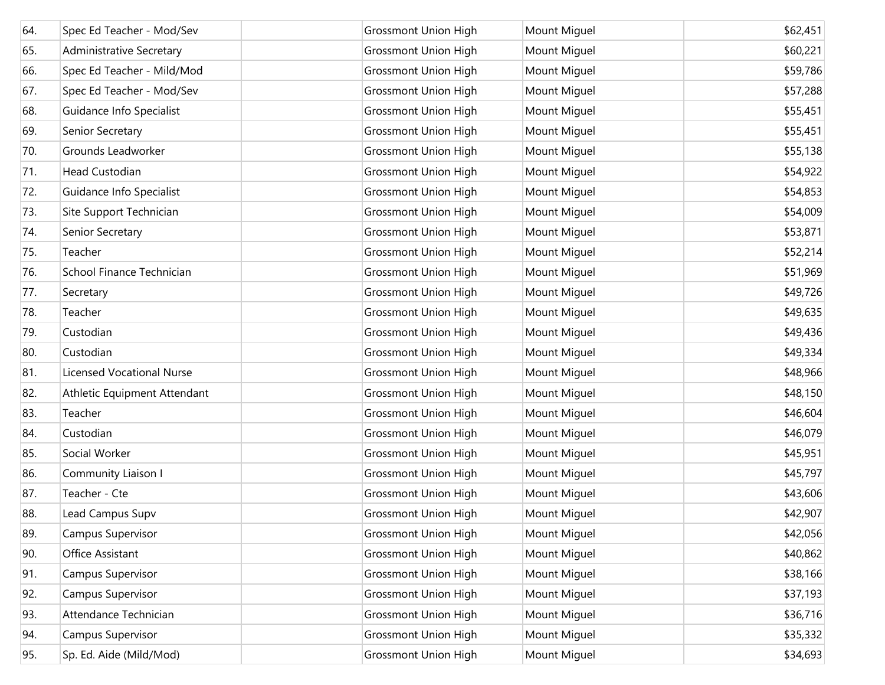| 64. | Spec Ed Teacher - Mod/Sev        | <b>Grossmont Union High</b> | Mount Miguel | \$62,451 |
|-----|----------------------------------|-----------------------------|--------------|----------|
| 65. | <b>Administrative Secretary</b>  | <b>Grossmont Union High</b> | Mount Miguel | \$60,221 |
| 66. | Spec Ed Teacher - Mild/Mod       | <b>Grossmont Union High</b> | Mount Miguel | \$59,786 |
| 67. | Spec Ed Teacher - Mod/Sev        | <b>Grossmont Union High</b> | Mount Miguel | \$57,288 |
| 68. | Guidance Info Specialist         | <b>Grossmont Union High</b> | Mount Miguel | \$55,451 |
| 69. | Senior Secretary                 | <b>Grossmont Union High</b> | Mount Miguel | \$55,451 |
| 70. | Grounds Leadworker               | <b>Grossmont Union High</b> | Mount Miguel | \$55,138 |
| 71. | <b>Head Custodian</b>            | <b>Grossmont Union High</b> | Mount Miguel | \$54,922 |
| 72. | Guidance Info Specialist         | <b>Grossmont Union High</b> | Mount Miguel | \$54,853 |
| 73. | Site Support Technician          | <b>Grossmont Union High</b> | Mount Miguel | \$54,009 |
| 74. | Senior Secretary                 | <b>Grossmont Union High</b> | Mount Miguel | \$53,871 |
| 75. | Teacher                          | <b>Grossmont Union High</b> | Mount Miguel | \$52,214 |
| 76. | School Finance Technician        | <b>Grossmont Union High</b> | Mount Miguel | \$51,969 |
| 77. | Secretary                        | <b>Grossmont Union High</b> | Mount Miguel | \$49,726 |
| 78. | Teacher                          | <b>Grossmont Union High</b> | Mount Miguel | \$49,635 |
| 79. | Custodian                        | <b>Grossmont Union High</b> | Mount Miguel | \$49,436 |
| 80. | Custodian                        | <b>Grossmont Union High</b> | Mount Miguel | \$49,334 |
| 81. | <b>Licensed Vocational Nurse</b> | <b>Grossmont Union High</b> | Mount Miguel | \$48,966 |
| 82. | Athletic Equipment Attendant     | <b>Grossmont Union High</b> | Mount Miguel | \$48,150 |
| 83. | Teacher                          | <b>Grossmont Union High</b> | Mount Miguel | \$46,604 |
| 84. | Custodian                        | <b>Grossmont Union High</b> | Mount Miguel | \$46,079 |
| 85. | Social Worker                    | <b>Grossmont Union High</b> | Mount Miguel | \$45,951 |
| 86. | Community Liaison I              | <b>Grossmont Union High</b> | Mount Miguel | \$45,797 |
| 87. | Teacher - Cte                    | <b>Grossmont Union High</b> | Mount Miguel | \$43,606 |
| 88. | Lead Campus Supv                 | <b>Grossmont Union High</b> | Mount Miguel | \$42,907 |
| 89. | Campus Supervisor                | <b>Grossmont Union High</b> | Mount Miguel | \$42,056 |
| 90. | Office Assistant                 | <b>Grossmont Union High</b> | Mount Miguel | \$40,862 |
| 91. | Campus Supervisor                | <b>Grossmont Union High</b> | Mount Miguel | \$38,166 |
| 92. | Campus Supervisor                | <b>Grossmont Union High</b> | Mount Miguel | \$37,193 |
| 93. | Attendance Technician            | <b>Grossmont Union High</b> | Mount Miguel | \$36,716 |
| 94. | Campus Supervisor                | <b>Grossmont Union High</b> | Mount Miguel | \$35,332 |
| 95. | Sp. Ed. Aide (Mild/Mod)          | <b>Grossmont Union High</b> | Mount Miguel | \$34,693 |